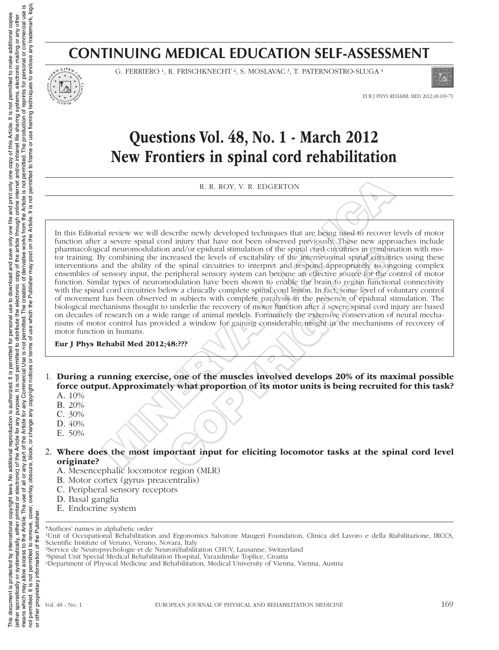### **CONTINUING MEDICAL EDUCATION SELF-ASSESSMENT**



G. FERRIERO<sup>1</sup>, R. FRISCHKNECHT<sup>2</sup>, S. MOSLAVAC<sup>3</sup>, T. PATERNOSTRO-SLUGA<sup>4</sup>



EUR J PHYS REHABIL MED 2012;48:169-71

# Questions Vol. 48, No. 1 - March 2012 New Frontiers in spinal cord rehabilitation

R. R. ROY, V. R. EDGERTON

In this Editorial review we will describe newly developed techniques that are being used to recover levels of motor function after a severe spinal cord injury that have not been observed previously. These new approaches include pharmacological neuromodulation and/or epidural stimulation of the spinal cord circuitries in combination with motor training. By combining the increased the levels of excitability of the interneuronal spinal circuitries using these interventions and the ability of the spinal circuitries to interpret and respond appropriately to ongoing complex ensembles of sensory input, the peripheral sensory system can become an effective source for the control of motor function. Similar types of neuromodulation have been shown to enable the brain to regain functional connectivity with the spinal cord circuitries below a clinically complete spinal cord lesion. In fact, some level of voluntary control of movement has been observed in subjects with complete paralysis in the presence of epidural stimulation. The biological mechanisms thought to underlie the recovery of motor function after a severe spinal cord injury are based on decades of research on a wide range of animal models. Fortunately the extensive conservation of neural mechanisms of motor control has provided a window for gaining considerable insight in the mechanisms of recovery of motor function in humans. R. R. ROY, V. R. EDGERTON<br>
Il review we will describe newly developed techniques that are being used to recover<br>
a severe spinal cord injury that have not been observed previously. These new approximates<br>
al neuromodulatio example and/or epidural stimulation of the spiral cord circuitries in combinements and/or epidural stimulation of the spiral cord circuitries in combinements to interpret and respond apportately to only or epiral circuit t

Eur J Phys Rehabil Med 2012;48:???

- 1. During a running exercise, one of the muscles involved develops 20% of its maximal possible force output. Approximately what proportion of its motor units is being recruited for this task?
	- A. 10%
	- B. 20% C. 30%
	- D.  $40%$
	- E. 50%
- 2. Where does the most important input for eliciting locomotor tasks at the spinal cord level originate?
	- A. Mesencephalic locomotor region (MLR)
	- B. Motor cortex (gyrus preacentralis)
	- C. Peripheral sensory receptors
	- D. Basal ganglia
	- E. Endocrine system

- 2Service de Neuropsychologie et de Neuroréhabilitation CHUV, Lausanne, Switzerland
- 3Spinal Unit Special Medical Rehabilitation Hospital, Varazdinske Toplice, Croatia

<sup>\*</sup>Authors' names in alphabetic order

<sup>1</sup>Unit of Occupational Rehabilitation and Ergonomics Salvatore Maugeri Foundation, Clinica del Lavoro e della Riabilitazione, IRCCS, Scientific Institute of Veruno, Veruno, Novara, Italy

<sup>4</sup>Department of Physical Medicine and Rehabilitation, Medical University of Vienna, Vienna, Austria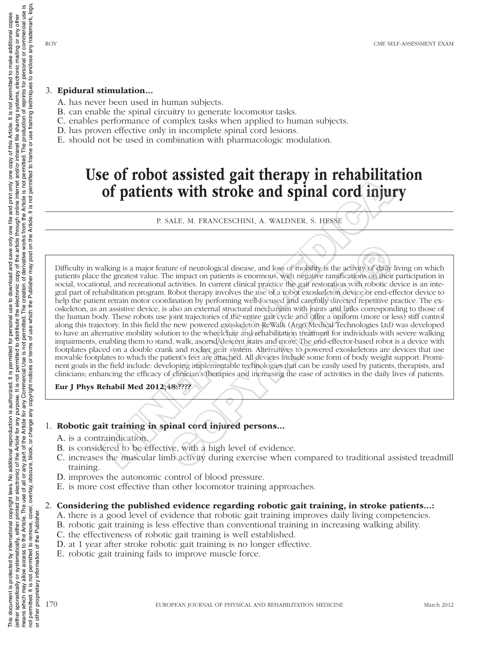#### 3. Epidural stimulation...

- A. has never been used in human subjects.
- B. can enable the spinal circuitry to generate locomotor tasks.
- C. enables performance of complex tasks when applied to human subjects.
- D. has proven effective only in incomplete spinal cord lesions.
- E. should not be used in combination with pharmacologic modulation.

## Use of robot assisted gait therapy in rehabilitation of patients with stroke and spinal cord injury

P. SALE, M. FRANCESCHINI, A. WALDNER, S. HESSE

Difficulty in walking is a major feature of neurological disease, and loss of mobility is the activity of daily living on which patients place the greatest value. The impact on patients is enormous, with negative ramifications on their participation in social, vocational, and recreational activities. In current clinical practice the gait restoration with robotic device is an integral part of rehabilitation program. Robot therapy involves the use of a robot exoskeleton device or end-effector device to help the patient retrain motor coordination by performing well-focused and carefully directed repetitive practice. The exoskeleton, as an assistive device, is also an external structural mechanism with joints and links corresponding to those of the human body. These robots use joint trajectories of the entire gait cycle and offer a uniform (more or less) stiff control along this trajectory. In this field the new powered exoskeleton ReWalk (Argo Medical Technologies Ltd) was developed to have an alternative mobility solution to the wheelchair and rehabilitation treatment for individuals with severe walking impairments, enabling them to stand, walk, ascend/descent stairs and more. The end-effector-based robot is a device with footplates placed on a double crank and rocker gear system. Alternatives to powered exoskeletons are devices that use movable footplates to which the patient's feet are attached. All devices include some form of body weight support. Prominent goals in the field include: developing implementable technologies that can be easily used by patients, therapists, and clinicians; enhancing the efficacy of clinician's therapies and increasing the ease of activities in the daily lives of patients. **Columb to the solution of the solution of the solution of particular cord in the solution of particular state, M. FRANCESCHINI, A. WALDNER, S. HESSE<br>
P. SALE, M. FRANCESCHINI, A. WALDNER, S. HESSE<br>
and cord in the precise** ure of neurological disease, and loss of mobility is the activity of daily<br>the impact on patients is enormous, with negative ramifications on their<br>activities. In current clinical practice the gait restoration with robotic

#### Eur J Phys Rehabil Med 2012;48:????

#### 1. Robotic gait training in spinal cord injured persons...

- A. is a contraindication.
- B. is considered to be effective, with a high level of evidence.
- C. increases the muscular limb activity during exercise when compared to traditional assisted treadmill training.
- D. improves the autonomic control of blood pressure.
- E. is more cost effective than other locomotor training approaches.

#### 2. Considering the published evidence regarding robotic gait training, in stroke patients...:

- A. there is a good level of evidence that robotic gait training improves daily living competencies.
- B. robotic gait training is less effective than conventional training in increasing walking ability.
- C. the effectiveness of robotic gait training is well established.
- D. at 1 year after stroke robotic gait training is no longer effective.
- E. robotic gait training fails to improve muscle force.

or other proprietary information of the Publisher.

 $\overline{a}$